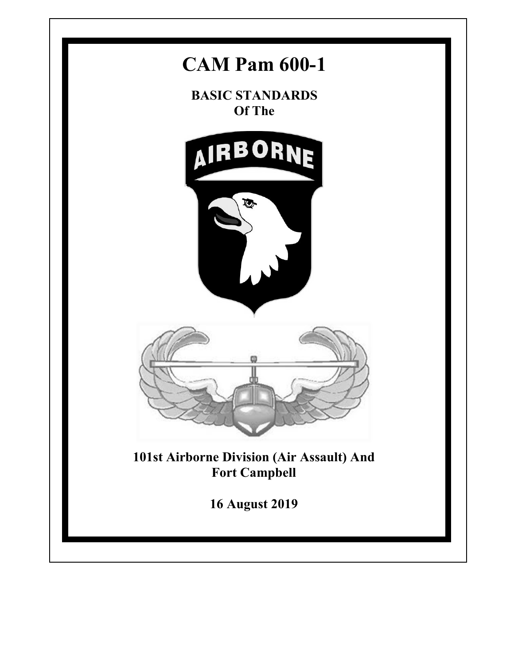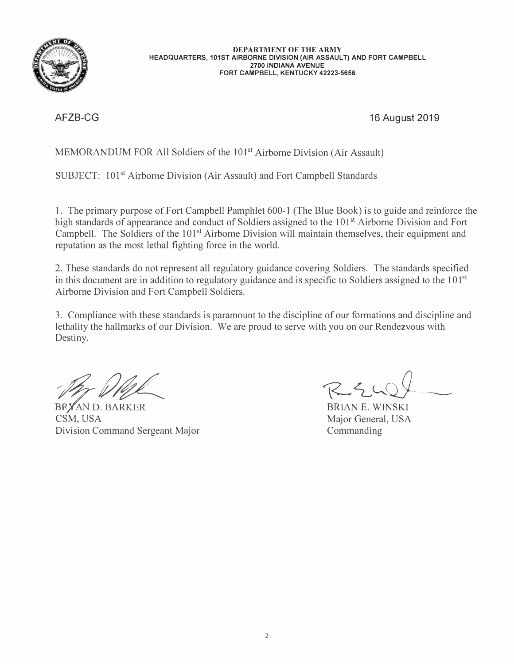

**DEPARTMENT OF THE ARMY HEADQUARTERS, 101ST AIRBORNE DIVISION (AIR ASSAULT) AND FORT CAMPBELL 2700 INDIANA AVENUE FORT CAMPBELL, KENTUCKY 42223-5656** 

AFZB-CG 16 August 2019

MEMORANDUM FOR All Soldiers of the 101<sup>st</sup> Airborne Division (Air Assault)

SUBJECT: 101<sup>st</sup> Airborne Division (Air Assault) and Fort Campbell Standards

1. The primary purpose of Fort Campbell Pamphlet 600-1 (The Blue Book) is to guide and reinforce the high standards of appearance and conduct of Soldiers assigned to the 101<sup>st</sup> Airborne Division and Fort Campbell. The Soldiers of the 101<sup>st</sup> Airborne Division will maintain themselves, their equipment and reputation as the most lethal fighting force in the world.

2. These standards do not represent all regulatory guidance covering Soldiers. The standards specified in this document are in addition to regulatory guidance and is specific to Soldiers assigned to the  $101<sup>st</sup>$ Airborne Division and Fort Campbell Soldiers.

3. Compliance with these standards is paramount to the discipline of our formations and discipline and lethality the hallmarks of our Division. We are proud to serve with you on our Rendezvous with Destiny.

BRYAN D. BARKER CSM, USA Division Command Sergeant Major

RELUIT

Major General, USA Commanding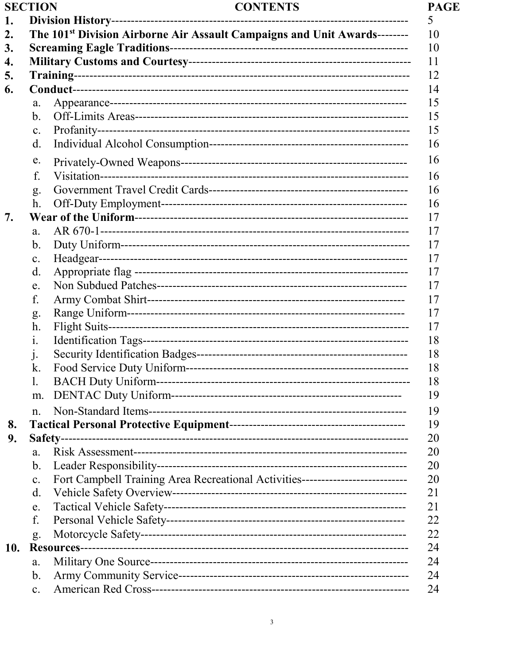| <b>SECTION</b> |
|----------------|
|----------------|

#### **CONTENTS**

| 1.  |                |                                                                                       |  |  |  |  |
|-----|----------------|---------------------------------------------------------------------------------------|--|--|--|--|
| 2.  |                | The 101 <sup>st</sup> Division Airborne Air Assault Campaigns and Unit Awards-------- |  |  |  |  |
| 3.  |                | 10<br>10                                                                              |  |  |  |  |
| 4.  |                |                                                                                       |  |  |  |  |
| 5.  |                |                                                                                       |  |  |  |  |
| 6.  |                |                                                                                       |  |  |  |  |
|     | a.             |                                                                                       |  |  |  |  |
|     | b.             |                                                                                       |  |  |  |  |
|     | c.             |                                                                                       |  |  |  |  |
|     | $\mathbf{d}$ . |                                                                                       |  |  |  |  |
|     | e.             |                                                                                       |  |  |  |  |
|     | f.             |                                                                                       |  |  |  |  |
|     | g.             |                                                                                       |  |  |  |  |
|     | h.             |                                                                                       |  |  |  |  |
|     |                |                                                                                       |  |  |  |  |
|     | a.             |                                                                                       |  |  |  |  |
|     | b.             |                                                                                       |  |  |  |  |
|     | $\mathbf{c}$ . |                                                                                       |  |  |  |  |
|     | d.             |                                                                                       |  |  |  |  |
|     | e.             |                                                                                       |  |  |  |  |
|     | f.             |                                                                                       |  |  |  |  |
|     | g.             |                                                                                       |  |  |  |  |
|     | h.             |                                                                                       |  |  |  |  |
|     | 1.             |                                                                                       |  |  |  |  |
|     | $\cdot$        |                                                                                       |  |  |  |  |
|     | k.             |                                                                                       |  |  |  |  |
|     | 1.             |                                                                                       |  |  |  |  |
|     | m.             |                                                                                       |  |  |  |  |
|     | n.             |                                                                                       |  |  |  |  |
| 8.  |                |                                                                                       |  |  |  |  |
| 9.  |                |                                                                                       |  |  |  |  |
|     | a.             |                                                                                       |  |  |  |  |
|     | b.             |                                                                                       |  |  |  |  |
|     | c.             | Fort Campbell Training Area Recreational Activities----------------------------       |  |  |  |  |
|     | d.             |                                                                                       |  |  |  |  |
|     | e.             |                                                                                       |  |  |  |  |
|     | f.             |                                                                                       |  |  |  |  |
|     | g.             |                                                                                       |  |  |  |  |
| 10. |                |                                                                                       |  |  |  |  |
|     | a.             |                                                                                       |  |  |  |  |
|     | b.             |                                                                                       |  |  |  |  |
|     | $\mathbf{c}$ . |                                                                                       |  |  |  |  |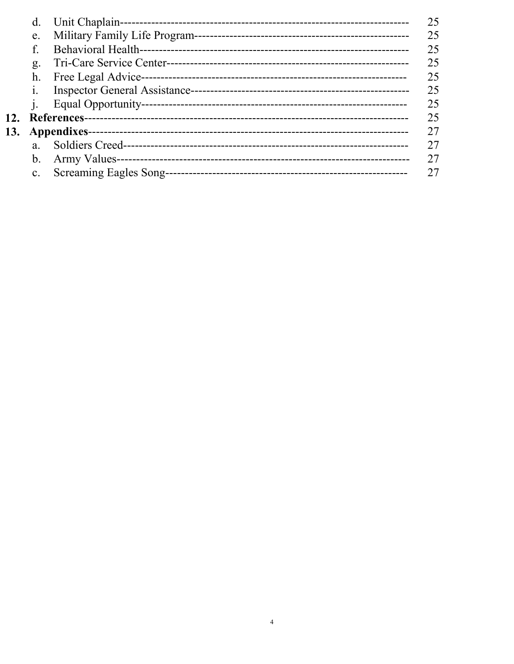|            | d.             |  |    |  |  |  |
|------------|----------------|--|----|--|--|--|
|            | e.             |  |    |  |  |  |
|            |                |  | 25 |  |  |  |
|            | g.             |  | 25 |  |  |  |
|            | h.             |  | 25 |  |  |  |
|            |                |  | 25 |  |  |  |
|            |                |  | 25 |  |  |  |
| <b>12.</b> |                |  | 25 |  |  |  |
| 13.        |                |  | 27 |  |  |  |
|            | a.             |  | 27 |  |  |  |
|            | b.             |  | 27 |  |  |  |
|            | $\mathbf{c}$ . |  | 27 |  |  |  |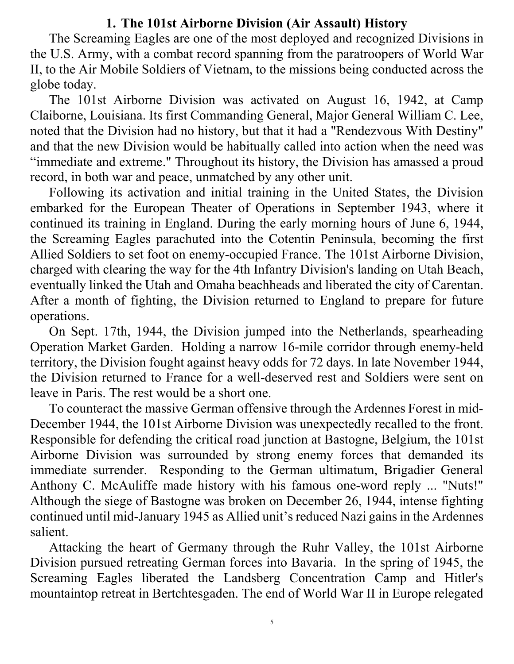#### **1. The 101st Airborne Division (Air Assault) History**

The Screaming Eagles are one of the most deployed and recognized Divisions in the U.S. Army, with a combat record spanning from the paratroopers of World War II, to the Air Mobile Soldiers of Vietnam, to the missions being conducted across the globe today.

The 101st Airborne Division was activated on August 16, 1942, at Camp Claiborne, Louisiana. Its first Commanding General, Major General William C. Lee, noted that the Division had no history, but that it had a "Rendezvous With Destiny" and that the new Division would be habitually called into action when the need was "immediate and extreme." Throughout its history, the Division has amassed a proud record, in both war and peace, unmatched by any other unit.

Following its activation and initial training in the United States, the Division embarked for the European Theater of Operations in September 1943, where it continued its training in England. During the early morning hours of June 6, 1944, the Screaming Eagles parachuted into the Cotentin Peninsula, becoming the first Allied Soldiers to set foot on enemy-occupied France. The 101st Airborne Division, charged with clearing the way for the 4th Infantry Division's landing on Utah Beach, eventually linked the Utah and Omaha beachheads and liberated the city of Carentan. After a month of fighting, the Division returned to England to prepare for future operations.

On Sept. 17th, 1944, the Division jumped into the Netherlands, spearheading Operation Market Garden. Holding a narrow 16-mile corridor through enemy-held territory, the Division fought against heavy odds for 72 days. In late November 1944, the Division returned to France for a well-deserved rest and Soldiers were sent on leave in Paris. The rest would be a short one.

To counteract the massive German offensive through the Ardennes Forest in mid-December 1944, the 101st Airborne Division was unexpectedly recalled to the front. Responsible for defending the critical road junction at Bastogne, Belgium, the 101st Airborne Division was surrounded by strong enemy forces that demanded its immediate surrender. Responding to the German ultimatum, Brigadier General Anthony C. McAuliffe made history with his famous one-word reply ... "Nuts!" Although the siege of Bastogne was broken on December 26, 1944, intense fighting continued until mid-January 1945 as Allied unit's reduced Nazi gains in the Ardennes salient.

Attacking the heart of Germany through the Ruhr Valley, the 101st Airborne Division pursued retreating German forces into Bavaria. In the spring of 1945, the Screaming Eagles liberated the Landsberg Concentration Camp and Hitler's mountaintop retreat in Bertchtesgaden. The end of World War II in Europe relegated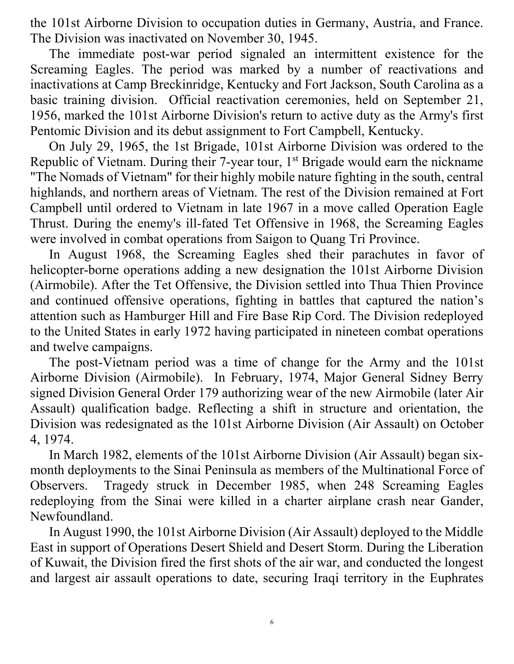the 101st Airborne Division to occupation duties in Germany, Austria, and France. The Division was inactivated on November 30, 1945.

The immediate post-war period signaled an intermittent existence for the Screaming Eagles. The period was marked by a number of reactivations and inactivations at Camp Breckinridge, Kentucky and Fort Jackson, South Carolina as a basic training division. Official reactivation ceremonies, held on September 21, 1956, marked the 101st Airborne Division's return to active duty as the Army's first Pentomic Division and its debut assignment to Fort Campbell, Kentucky.

On July 29, 1965, the 1st Brigade, 101st Airborne Division was ordered to the Republic of Vietnam. During their 7-year tour, 1<sup>st</sup> Brigade would earn the nickname "The Nomads of Vietnam" for their highly mobile nature fighting in the south, central highlands, and northern areas of Vietnam. The rest of the Division remained at Fort Campbell until ordered to Vietnam in late 1967 in a move called Operation Eagle Thrust. During the enemy's ill-fated Tet Offensive in 1968, the Screaming Eagles were involved in combat operations from Saigon to Quang Tri Province.

In August 1968, the Screaming Eagles shed their parachutes in favor of helicopter-borne operations adding a new designation the 101st Airborne Division (Airmobile). After the Tet Offensive, the Division settled into Thua Thien Province and continued offensive operations, fighting in battles that captured the nation's attention such as Hamburger Hill and Fire Base Rip Cord. The Division redeployed to the United States in early 1972 having participated in nineteen combat operations and twelve campaigns.

The post-Vietnam period was a time of change for the Army and the 101st Airborne Division (Airmobile). In February, 1974, Major General Sidney Berry signed Division General Order 179 authorizing wear of the new Airmobile (later Air Assault) qualification badge. Reflecting a shift in structure and orientation, the Division was redesignated as the 101st Airborne Division (Air Assault) on October 4, 1974.

In March 1982, elements of the 101st Airborne Division (Air Assault) began sixmonth deployments to the Sinai Peninsula as members of the Multinational Force of Observers. Tragedy struck in December 1985, when 248 Screaming Eagles redeploying from the Sinai were killed in a charter airplane crash near Gander, Newfoundland.

In August 1990, the 101st Airborne Division (Air Assault) deployed to the Middle East in support of Operations Desert Shield and Desert Storm. During the Liberation of Kuwait, the Division fired the first shots of the air war, and conducted the longest and largest air assault operations to date, securing Iraqi territory in the Euphrates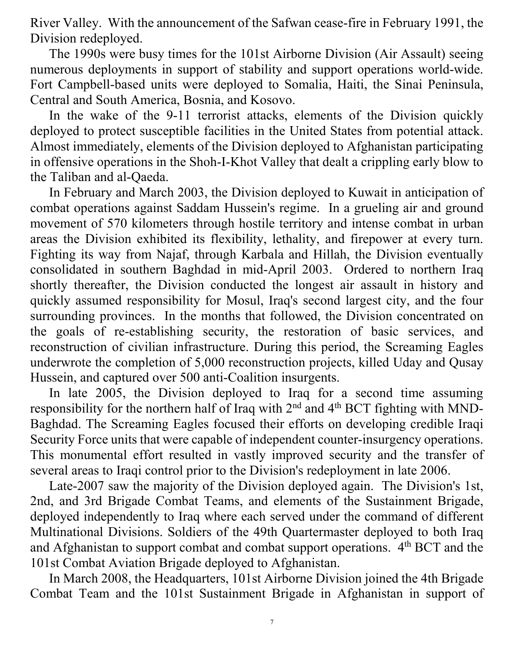River Valley. With the announcement of the Safwan cease-fire in February 1991, the Division redeployed.

The 1990s were busy times for the 101st Airborne Division (Air Assault) seeing numerous deployments in support of stability and support operations world-wide. Fort Campbell-based units were deployed to Somalia, Haiti, the Sinai Peninsula, Central and South America, Bosnia, and Kosovo.

In the wake of the 9-11 terrorist attacks, elements of the Division quickly deployed to protect susceptible facilities in the United States from potential attack. Almost immediately, elements of the Division deployed to Afghanistan participating in offensive operations in the Shoh-I-Khot Valley that dealt a crippling early blow to the Taliban and al-Qaeda.

In February and March 2003, the Division deployed to Kuwait in anticipation of combat operations against Saddam Hussein's regime. In a grueling air and ground movement of 570 kilometers through hostile territory and intense combat in urban areas the Division exhibited its flexibility, lethality, and firepower at every turn. Fighting its way from Najaf, through Karbala and Hillah, the Division eventually consolidated in southern Baghdad in mid-April 2003. Ordered to northern Iraq shortly thereafter, the Division conducted the longest air assault in history and quickly assumed responsibility for Mosul, Iraq's second largest city, and the four surrounding provinces. In the months that followed, the Division concentrated on the goals of re-establishing security, the restoration of basic services, and reconstruction of civilian infrastructure. During this period, the Screaming Eagles underwrote the completion of 5,000 reconstruction projects, killed Uday and Qusay Hussein, and captured over 500 anti-Coalition insurgents.

In late 2005, the Division deployed to Iraq for a second time assuming responsibility for the northern half of Iraq with 2nd and 4th BCT fighting with MND-Baghdad. The Screaming Eagles focused their efforts on developing credible Iraqi Security Force units that were capable of independent counter-insurgency operations. This monumental effort resulted in vastly improved security and the transfer of several areas to Iraqi control prior to the Division's redeployment in late 2006.

Late-2007 saw the majority of the Division deployed again. The Division's 1st, 2nd, and 3rd Brigade Combat Teams, and elements of the Sustainment Brigade, deployed independently to Iraq where each served under the command of different Multinational Divisions. Soldiers of the 49th Quartermaster deployed to both Iraq and Afghanistan to support combat and combat support operations. 4<sup>th</sup> BCT and the 101st Combat Aviation Brigade deployed to Afghanistan.

In March 2008, the Headquarters, 101st Airborne Division joined the 4th Brigade Combat Team and the 101st Sustainment Brigade in Afghanistan in support of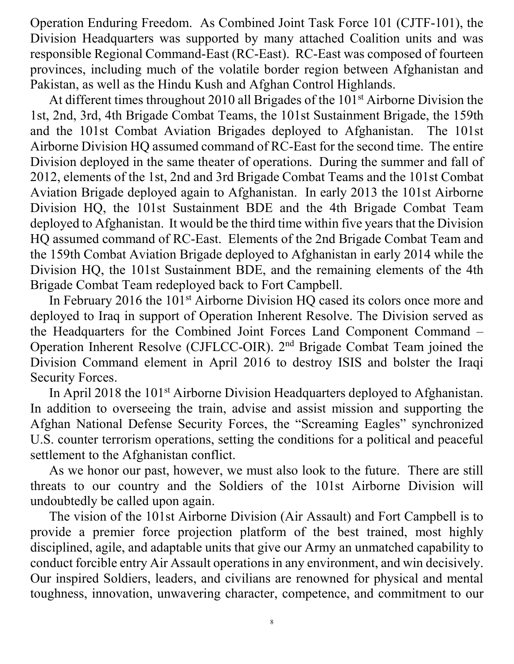Operation Enduring Freedom. As Combined Joint Task Force 101 (CJTF-101), the Division Headquarters was supported by many attached Coalition units and was responsible Regional Command-East (RC-East). RC-East was composed of fourteen provinces, including much of the volatile border region between Afghanistan and Pakistan, as well as the Hindu Kush and Afghan Control Highlands.

At different times throughout 2010 all Brigades of the 101<sup>st</sup> Airborne Division the 1st, 2nd, 3rd, 4th Brigade Combat Teams, the 101st Sustainment Brigade, the 159th and the 101st Combat Aviation Brigades deployed to Afghanistan. The 101st Airborne Division HQ assumed command of RC-East for the second time. The entire Division deployed in the same theater of operations. During the summer and fall of 2012, elements of the 1st, 2nd and 3rd Brigade Combat Teams and the 101st Combat Aviation Brigade deployed again to Afghanistan. In early 2013 the 101st Airborne Division HQ, the 101st Sustainment BDE and the 4th Brigade Combat Team deployed to Afghanistan. It would be the third time within five years that the Division HQ assumed command of RC-East. Elements of the 2nd Brigade Combat Team and the 159th Combat Aviation Brigade deployed to Afghanistan in early 2014 while the Division HQ, the 101st Sustainment BDE, and the remaining elements of the 4th Brigade Combat Team redeployed back to Fort Campbell.

In February 2016 the 101<sup>st</sup> Airborne Division HQ cased its colors once more and deployed to Iraq in support of Operation Inherent Resolve. The Division served as the Headquarters for the Combined Joint Forces Land Component Command – Operation Inherent Resolve (CJFLCC-OIR). 2nd Brigade Combat Team joined the Division Command element in April 2016 to destroy ISIS and bolster the Iraqi Security Forces.

In April 2018 the 101<sup>st</sup> Airborne Division Headquarters deployed to Afghanistan. In addition to overseeing the train, advise and assist mission and supporting the Afghan National Defense Security Forces, the "Screaming Eagles" synchronized U.S. counter terrorism operations, setting the conditions for a political and peaceful settlement to the Afghanistan conflict.

As we honor our past, however, we must also look to the future. There are still threats to our country and the Soldiers of the 101st Airborne Division will undoubtedly be called upon again.

The vision of the 101st Airborne Division (Air Assault) and Fort Campbell is to provide a premier force projection platform of the best trained, most highly disciplined, agile, and adaptable units that give our Army an unmatched capability to conduct forcible entry Air Assault operations in any environment, and win decisively. Our inspired Soldiers, leaders, and civilians are renowned for physical and mental toughness, innovation, unwavering character, competence, and commitment to our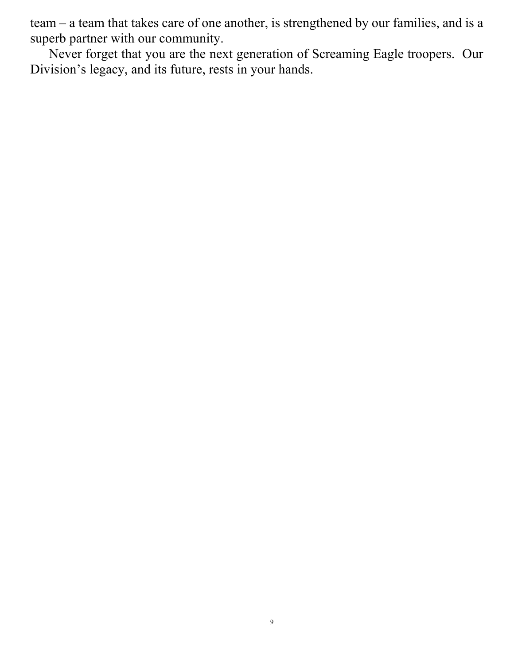team – a team that takes care of one another, is strengthened by our families, and is a superb partner with our community.

Never forget that you are the next generation of Screaming Eagle troopers. Our Division's legacy, and its future, rests in your hands.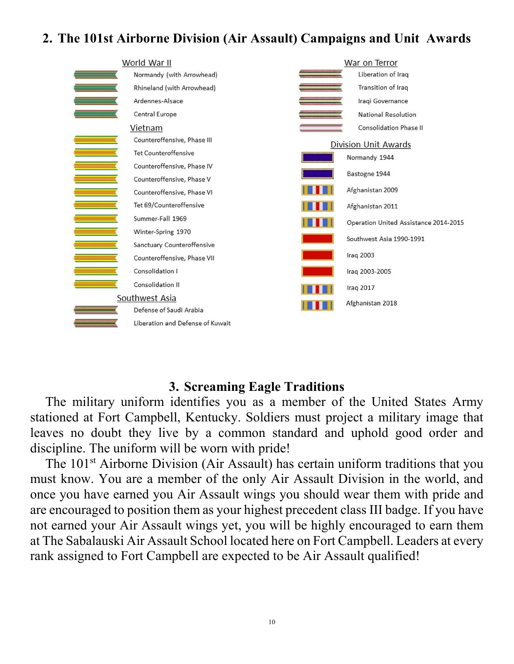## **2. The 101st Airborne Division (Air Assault) Campaigns and Unit Awards**



#### **3. Screaming Eagle Traditions**

The military uniform identifies you as a member of the United States Army stationed at Fort Campbell, Kentucky. Soldiers must project a military image that leaves no doubt they live by a common standard and uphold good order and discipline. The uniform will be worn with pride!

The 101<sup>st</sup> Airborne Division (Air Assault) has certain uniform traditions that you must know. You are a member of the only Air Assault Division in the world, and once you have earned you Air Assault wings you should wear them with pride and are encouraged to position them as your highest precedent class III badge. If you have not earned your Air Assault wings yet, you will be highly encouraged to earn them at The Sabalauski Air Assault School located here on Fort Campbell. Leaders at every rank assigned to Fort Campbell are expected to be Air Assault qualified!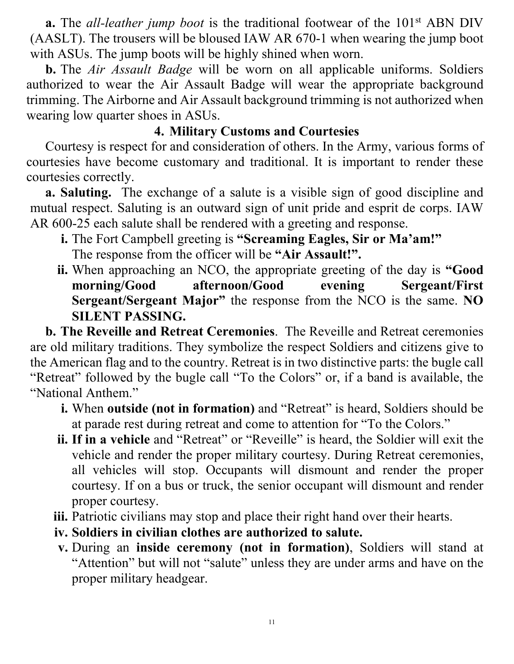**a.** The *all-leather jump boot* is the traditional footwear of the 101<sup>st</sup> ABN DIV (AASLT). The trousers will be bloused IAW AR 670-1 when wearing the jump boot with ASUs. The jump boots will be highly shined when worn.

**b.** The *Air Assault Badge* will be worn on all applicable uniforms. Soldiers authorized to wear the Air Assault Badge will wear the appropriate background trimming. The Airborne and Air Assault background trimming is not authorized when wearing low quarter shoes in ASUs.

## **4. Military Customs and Courtesies**

Courtesy is respect for and consideration of others. In the Army, various forms of courtesies have become customary and traditional. It is important to render these courtesies correctly.

**a. Saluting.** The exchange of a salute is a visible sign of good discipline and mutual respect. Saluting is an outward sign of unit pride and esprit de corps. IAW AR 600-25 each salute shall be rendered with a greeting and response.

- **i.** The Fort Campbell greeting is **"Screaming Eagles, Sir or Ma'am!"** The response from the officer will be **"Air Assault!".**
- **ii.** When approaching an NCO, the appropriate greeting of the day is **"Good morning/Good afternoon/Good evening Sergeant/First Sergeant/Sergeant Major"** the response from the NCO is the same. **NO SILENT PASSING.**

**b. The Reveille and Retreat Ceremonies**.The Reveille and Retreat ceremonies are old military traditions. They symbolize the respect Soldiers and citizens give to the American flag and to the country. Retreat is in two distinctive parts: the bugle call "Retreat" followed by the bugle call "To the Colors" or, if a band is available, the "National Anthem."

- **i.** When **outside (not in formation)** and "Retreat" is heard, Soldiers should be at parade rest during retreat and come to attention for "To the Colors."
- **ii. If in a vehicle** and "Retreat" or "Reveille" is heard, the Soldier will exit the vehicle and render the proper military courtesy. During Retreat ceremonies, all vehicles will stop. Occupants will dismount and render the proper courtesy. If on a bus or truck, the senior occupant will dismount and render proper courtesy.
- **iii.** Patriotic civilians may stop and place their right hand over their hearts.
- **iv. Soldiers in civilian clothes are authorized to salute.**
- **v.** During an **inside ceremony (not in formation)**, Soldiers will stand at "Attention" but will not "salute" unless they are under arms and have on the proper military headgear.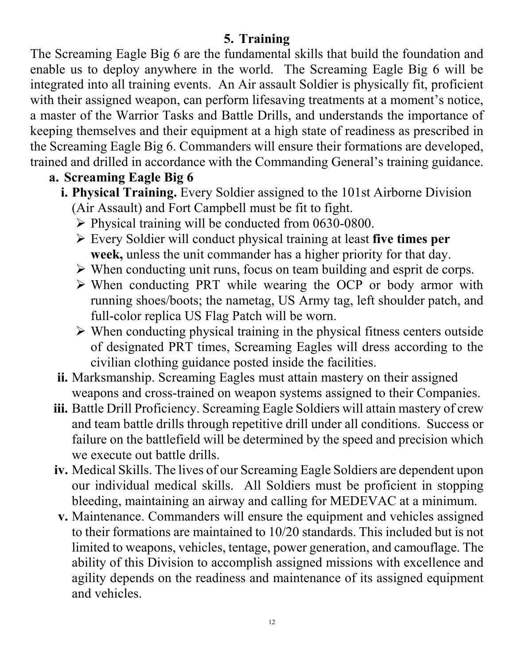## **5. Training**

The Screaming Eagle Big 6 are the fundamental skills that build the foundation and enable us to deploy anywhere in the world. The Screaming Eagle Big 6 will be integrated into all training events. An Air assault Soldier is physically fit, proficient with their assigned weapon, can perform lifesaving treatments at a moment's notice, a master of the Warrior Tasks and Battle Drills, and understands the importance of keeping themselves and their equipment at a high state of readiness as prescribed in the Screaming Eagle Big 6. Commanders will ensure their formations are developed, trained and drilled in accordance with the Commanding General's training guidance.

# **a. Screaming Eagle Big 6**

- **i. Physical Training.** Every Soldier assigned to the 101st Airborne Division (Air Assault) and Fort Campbell must be fit to fight.
	- $\triangleright$  Physical training will be conducted from 0630-0800.
	- Every Soldier will conduct physical training at least **five times per week,** unless the unit commander has a higher priority for that day.
	- $\triangleright$  When conducting unit runs, focus on team building and esprit de corps.
	- $\triangleright$  When conducting PRT while wearing the OCP or body armor with running shoes/boots; the nametag, US Army tag, left shoulder patch, and full-color replica US Flag Patch will be worn.
	- $\triangleright$  When conducting physical training in the physical fitness centers outside of designated PRT times, Screaming Eagles will dress according to the civilian clothing guidance posted inside the facilities.
- **ii.** Marksmanship. Screaming Eagles must attain mastery on their assigned weapons and cross-trained on weapon systems assigned to their Companies.
- **iii.** Battle Drill Proficiency. Screaming Eagle Soldiers will attain mastery of crew and team battle drills through repetitive drill under all conditions. Success or failure on the battlefield will be determined by the speed and precision which we execute out battle drills.
- **iv.** Medical Skills. The lives of our Screaming Eagle Soldiers are dependent upon our individual medical skills. All Soldiers must be proficient in stopping bleeding, maintaining an airway and calling for MEDEVAC at a minimum.
- **v.** Maintenance. Commanders will ensure the equipment and vehicles assigned to their formations are maintained to 10/20 standards. This included but is not limited to weapons, vehicles, tentage, power generation, and camouflage. The ability of this Division to accomplish assigned missions with excellence and agility depends on the readiness and maintenance of its assigned equipment and vehicles.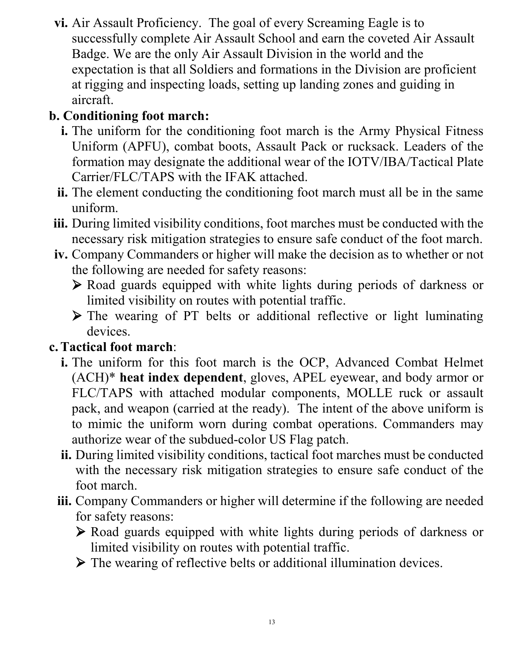**vi.** Air Assault Proficiency. The goal of every Screaming Eagle is to successfully complete Air Assault School and earn the coveted Air Assault Badge. We are the only Air Assault Division in the world and the expectation is that all Soldiers and formations in the Division are proficient at rigging and inspecting loads, setting up landing zones and guiding in aircraft.

# **b. Conditioning foot march:**

- **i.** The uniform for the conditioning foot march is the Army Physical Fitness Uniform (APFU), combat boots, Assault Pack or rucksack. Leaders of the formation may designate the additional wear of the IOTV/IBA/Tactical Plate Carrier/FLC/TAPS with the IFAK attached.
- **ii.** The element conducting the conditioning foot march must all be in the same uniform.
- **iii.** During limited visibility conditions, foot marches must be conducted with the necessary risk mitigation strategies to ensure safe conduct of the foot march.
- **iv.** Company Commanders or higher will make the decision as to whether or not the following are needed for safety reasons:
	- Road guards equipped with white lights during periods of darkness or limited visibility on routes with potential traffic.
	- $\triangleright$  The wearing of PT belts or additional reflective or light luminating devices.

# **c.Tactical foot march**:

- **i.** The uniform for this foot march is the OCP, Advanced Combat Helmet (ACH)\* **heat index dependent**, gloves, APEL eyewear, and body armor or FLC/TAPS with attached modular components, MOLLE ruck or assault pack, and weapon (carried at the ready). The intent of the above uniform is to mimic the uniform worn during combat operations. Commanders may authorize wear of the subdued-color US Flag patch.
- **ii.** During limited visibility conditions, tactical foot marches must be conducted with the necessary risk mitigation strategies to ensure safe conduct of the foot march.
- **iii.** Company Commanders or higher will determine if the following are needed for safety reasons:
	- Road guards equipped with white lights during periods of darkness or limited visibility on routes with potential traffic.
	- $\triangleright$  The wearing of reflective belts or additional illumination devices.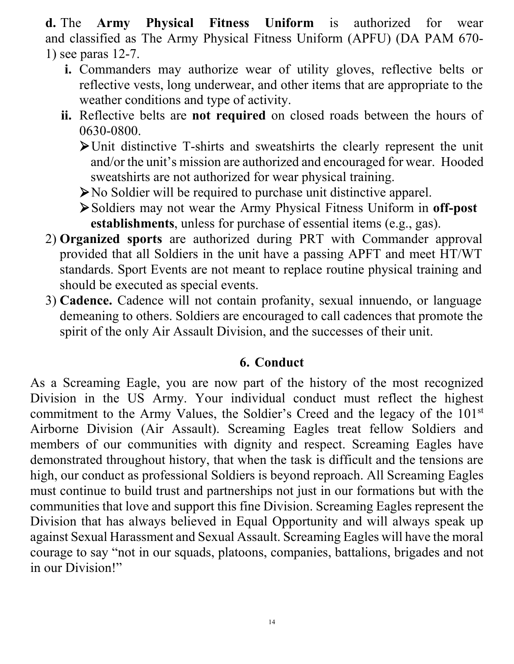**d.** The **Army Physical Fitness Uniform** is authorized for wear and classified as The Army Physical Fitness Uniform (APFU) (DA PAM 670- 1) see paras 12-7.

- **i.** Commanders may authorize wear of utility gloves, reflective belts or reflective vests, long underwear, and other items that are appropriate to the weather conditions and type of activity.
- **ii.** Reflective belts are **not required** on closed roads between the hours of 0630-0800.

Unit distinctive T-shirts and sweatshirts the clearly represent the unit and/or the unit's mission are authorized and encouraged for wear. Hooded sweatshirts are not authorized for wear physical training.

No Soldier will be required to purchase unit distinctive apparel.

Soldiers may not wear the Army Physical Fitness Uniform in **off-post establishments**, unless for purchase of essential items (e.g., gas).

- 2) **Organized sports** are authorized during PRT with Commander approval provided that all Soldiers in the unit have a passing APFT and meet HT/WT standards. Sport Events are not meant to replace routine physical training and should be executed as special events.
- 3) **Cadence.** Cadence will not contain profanity, sexual innuendo, or language demeaning to others. Soldiers are encouraged to call cadences that promote the spirit of the only Air Assault Division, and the successes of their unit.

#### **6. Conduct**

As a Screaming Eagle, you are now part of the history of the most recognized Division in the US Army. Your individual conduct must reflect the highest commitment to the Army Values, the Soldier's Creed and the legacy of the 101st Airborne Division (Air Assault). Screaming Eagles treat fellow Soldiers and members of our communities with dignity and respect. Screaming Eagles have demonstrated throughout history, that when the task is difficult and the tensions are high, our conduct as professional Soldiers is beyond reproach. All Screaming Eagles must continue to build trust and partnerships not just in our formations but with the communities that love and support this fine Division. Screaming Eagles represent the Division that has always believed in Equal Opportunity and will always speak up against Sexual Harassment and Sexual Assault. Screaming Eagles will have the moral courage to say "not in our squads, platoons, companies, battalions, brigades and not in our Division!"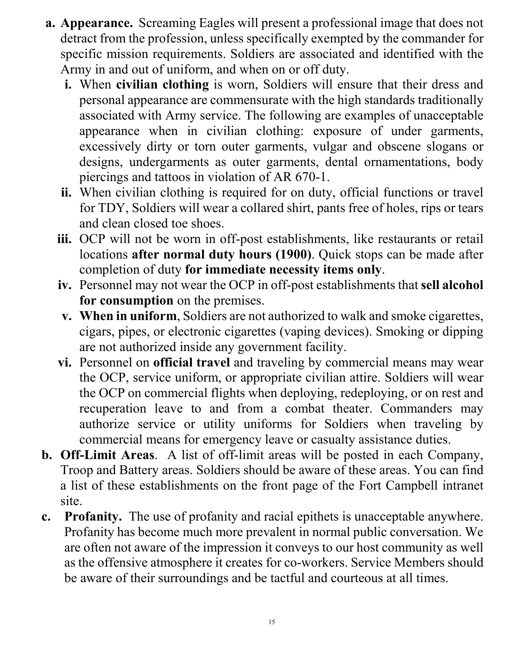- **a. Appearance.** Screaming Eagles will present a professional image that does not detract from the profession, unless specifically exempted by the commander for specific mission requirements. Soldiers are associated and identified with the Army in and out of uniform, and when on or off duty.
	- **i.** When **civilian clothing** is worn, Soldiers will ensure that their dress and personal appearance are commensurate with the high standards traditionally associated with Army service. The following are examples of unacceptable appearance when in civilian clothing: exposure of under garments, excessively dirty or torn outer garments, vulgar and obscene slogans or designs, undergarments as outer garments, dental ornamentations, body piercings and tattoos in violation of AR 670-1.
	- **ii.** When civilian clothing is required for on duty, official functions or travel for TDY, Soldiers will wear a collared shirt, pants free of holes, rips or tears and clean closed toe shoes.
	- **iii.** OCP will not be worn in off-post establishments, like restaurants or retail locations **after normal duty hours (1900)**. Quick stops can be made after completion of duty **for immediate necessity items only**.
	- **iv.** Personnel may not wear the OCP in off-post establishments that **sell alcohol for consumption** on the premises.
	- **v. When in uniform**, Soldiers are not authorized to walk and smoke cigarettes, cigars, pipes, or electronic cigarettes (vaping devices). Smoking or dipping are not authorized inside any government facility.
	- **vi.** Personnel on **official travel** and traveling by commercial means may wear the OCP, service uniform, or appropriate civilian attire. Soldiers will wear the OCP on commercial flights when deploying, redeploying, or on rest and recuperation leave to and from a combat theater. Commanders may authorize service or utility uniforms for Soldiers when traveling by commercial means for emergency leave or casualty assistance duties.
- **b. Off-Limit Areas**. A list of off-limit areas will be posted in each Company, Troop and Battery areas. Soldiers should be aware of these areas. You can find a list of these establishments on the front page of the Fort Campbell intranet site.
- **c. Profanity.** The use of profanity and racial epithets is unacceptable anywhere. Profanity has become much more prevalent in normal public conversation. We are often not aware of the impression it conveys to our host community as well as the offensive atmosphere it creates for co-workers. Service Members should be aware of their surroundings and be tactful and courteous at all times.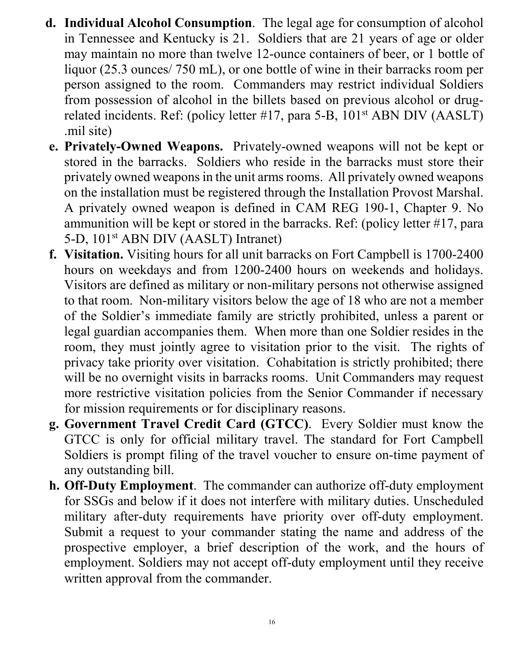- **d. Individual Alcohol Consumption**. The legal age for consumption of alcohol in Tennessee and Kentucky is 21. Soldiers that are 21 years of age or older may maintain no more than twelve 12-ounce containers of beer, or 1 bottle of liquor (25.3 ounces/ 750 mL), or one bottle of wine in their barracks room per person assigned to the room. Commanders may restrict individual Soldiers from possession of alcohol in the billets based on previous alcohol or drugrelated incidents. Ref: (policy letter #17, para 5-B, 101st ABN DIV (AASLT) .mil site)
- **e. Privately-Owned Weapons.** Privately-owned weapons will not be kept or stored in the barracks. Soldiers who reside in the barracks must store their privately owned weapons in the unit arms rooms. All privately owned weapons on the installation must be registered through the Installation Provost Marshal. A privately owned weapon is defined in CAM REG 190-1, Chapter 9. No ammunition will be kept or stored in the barracks. Ref: (policy letter #17, para 5-D, 101st ABN DIV (AASLT) Intranet)
- **f. Visitation.** Visiting hours for all unit barracks on Fort Campbell is 1700-2400 hours on weekdays and from 1200-2400 hours on weekends and holidays. Visitors are defined as military or non-military persons not otherwise assigned to that room. Non-military visitors below the age of 18 who are not a member of the Soldier's immediate family are strictly prohibited, unless a parent or legal guardian accompanies them. When more than one Soldier resides in the room, they must jointly agree to visitation prior to the visit. The rights of privacy take priority over visitation. Cohabitation is strictly prohibited; there will be no overnight visits in barracks rooms. Unit Commanders may request more restrictive visitation policies from the Senior Commander if necessary for mission requirements or for disciplinary reasons.
- **g. Government Travel Credit Card (GTCC)**. Every Soldier must know the GTCC is only for official military travel. The standard for Fort Campbell Soldiers is prompt filing of the travel voucher to ensure on-time payment of any outstanding bill.
- **h. Off-Duty Employment**. The commander can authorize off-duty employment for SSGs and below if it does not interfere with military duties. Unscheduled military after-duty requirements have priority over off-duty employment. Submit a request to your commander stating the name and address of the prospective employer, a brief description of the work, and the hours of employment. Soldiers may not accept off-duty employment until they receive written approval from the commander.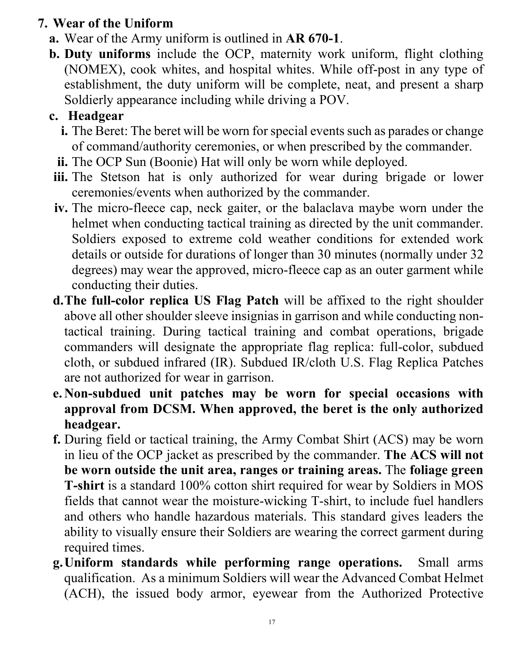# **7. Wear of the Uniform**

- **a.** Wear of the Army uniform is outlined in **AR 670-1**.
- **b. Duty uniforms** include the OCP, maternity work uniform, flight clothing (NOMEX), cook whites, and hospital whites. While off-post in any type of establishment, the duty uniform will be complete, neat, and present a sharp Soldierly appearance including while driving a POV.

# **c. Headgear**

- **i.** The Beret: The beret will be worn for special events such as parades or change of command/authority ceremonies, or when prescribed by the commander.
- **ii.** The OCP Sun (Boonie) Hat will only be worn while deployed.
- **iii.** The Stetson hat is only authorized for wear during brigade or lower ceremonies/events when authorized by the commander.
- **iv.** The micro-fleece cap, neck gaiter, or the balaclava maybe worn under the helmet when conducting tactical training as directed by the unit commander. Soldiers exposed to extreme cold weather conditions for extended work details or outside for durations of longer than 30 minutes (normally under 32 degrees) may wear the approved, micro-fleece cap as an outer garment while conducting their duties.
- **d.The full-color replica US Flag Patch** will be affixed to the right shoulder above all other shoulder sleeve insignias in garrison and while conducting nontactical training. During tactical training and combat operations, brigade commanders will designate the appropriate flag replica: full-color, subdued cloth, or subdued infrared (IR). Subdued IR/cloth U.S. Flag Replica Patches are not authorized for wear in garrison.
- **e. Non-subdued unit patches may be worn for special occasions with approval from DCSM. When approved, the beret is the only authorized headgear.**
- **f.** During field or tactical training, the Army Combat Shirt (ACS) may be worn in lieu of the OCP jacket as prescribed by the commander. **The ACS will not be worn outside the unit area, ranges or training areas.** The **foliage green T-shirt** is a standard 100% cotton shirt required for wear by Soldiers in MOS fields that cannot wear the moisture-wicking T-shirt, to include fuel handlers and others who handle hazardous materials. This standard gives leaders the ability to visually ensure their Soldiers are wearing the correct garment during required times.
- **g.Uniform standards while performing range operations.** Small arms qualification. As a minimum Soldiers will wear the Advanced Combat Helmet (ACH), the issued body armor, eyewear from the Authorized Protective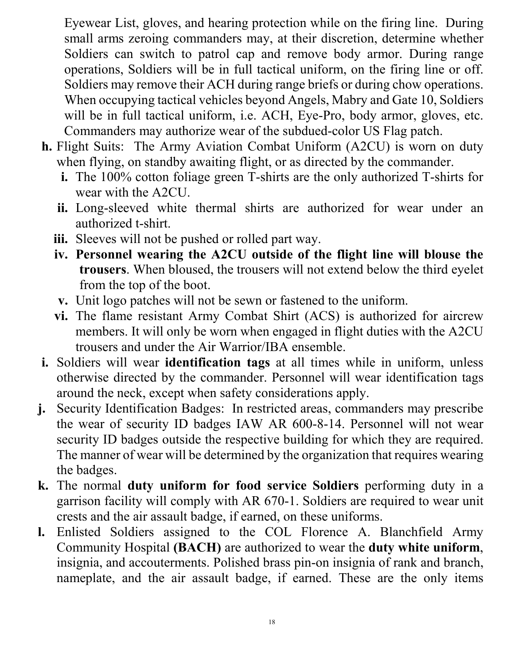Eyewear List, gloves, and hearing protection while on the firing line. During small arms zeroing commanders may, at their discretion, determine whether Soldiers can switch to patrol cap and remove body armor. During range operations, Soldiers will be in full tactical uniform, on the firing line or off. Soldiers may remove their ACH during range briefs or during chow operations. When occupying tactical vehicles beyond Angels, Mabry and Gate 10, Soldiers will be in full tactical uniform, i.e. ACH, Eye-Pro, body armor, gloves, etc. Commanders may authorize wear of the subdued-color US Flag patch.

- **h.** Flight Suits: The Army Aviation Combat Uniform (A2CU) is worn on duty when flying, on standby awaiting flight, or as directed by the commander.
	- **i.** The 100% cotton foliage green T-shirts are the only authorized T-shirts for wear with the A2CU.
	- **ii.** Long-sleeved white thermal shirts are authorized for wear under an authorized t-shirt.
	- **iii.** Sleeves will not be pushed or rolled part way.
	- **iv. Personnel wearing the A2CU outside of the flight line will blouse the trousers**. When bloused, the trousers will not extend below the third eyelet from the top of the boot.
	- **v.** Unit logo patches will not be sewn or fastened to the uniform.
	- **vi.** The flame resistant Army Combat Shirt (ACS) is authorized for aircrew members. It will only be worn when engaged in flight duties with the A2CU trousers and under the Air Warrior/IBA ensemble.
- **i.** Soldiers will wear **identification tags** at all times while in uniform, unless otherwise directed by the commander. Personnel will wear identification tags around the neck, except when safety considerations apply.
- **j.** Security Identification Badges: In restricted areas, commanders may prescribe the wear of security ID badges IAW AR 600-8-14. Personnel will not wear security ID badges outside the respective building for which they are required. The manner of wear will be determined by the organization that requires wearing the badges.
- **k.** The normal **duty uniform for food service Soldiers** performing duty in a garrison facility will comply with AR 670-1. Soldiers are required to wear unit crests and the air assault badge, if earned, on these uniforms.
- **l.** Enlisted Soldiers assigned to the COL Florence A. Blanchfield Army Community Hospital **(BACH)** are authorized to wear the **duty white uniform**, insignia, and accouterments. Polished brass pin-on insignia of rank and branch, nameplate, and the air assault badge, if earned. These are the only items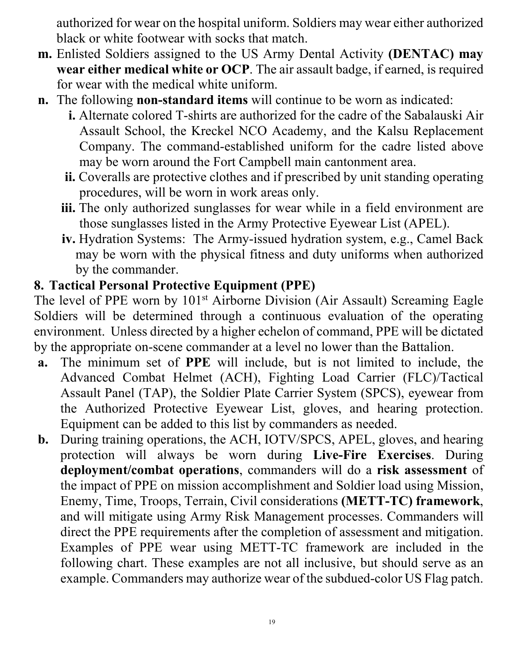authorized for wear on the hospital uniform. Soldiers may wear either authorized black or white footwear with socks that match.

- **m.** Enlisted Soldiers assigned to the US Army Dental Activity **(DENTAC) may wear either medical white or OCP**. The air assault badge, if earned, is required for wear with the medical white uniform.
- **n.** The following **non-standard items** will continue to be worn as indicated:
	- **i.** Alternate colored T-shirts are authorized for the cadre of the Sabalauski Air Assault School, the Kreckel NCO Academy, and the Kalsu Replacement Company. The command-established uniform for the cadre listed above may be worn around the Fort Campbell main cantonment area.
	- **ii.** Coveralls are protective clothes and if prescribed by unit standing operating procedures, will be worn in work areas only.
	- **iii.** The only authorized sunglasses for wear while in a field environment are those sunglasses listed in the Army Protective Eyewear List (APEL).
	- **iv.** Hydration Systems: The Army-issued hydration system, e.g., Camel Back may be worn with the physical fitness and duty uniforms when authorized by the commander.

## **8. Tactical Personal Protective Equipment (PPE)**

The level of PPE worn by 101<sup>st</sup> Airborne Division (Air Assault) Screaming Eagle Soldiers will be determined through a continuous evaluation of the operating environment. Unless directed by a higher echelon of command, PPE will be dictated by the appropriate on-scene commander at a level no lower than the Battalion.

- **a.** The minimum set of **PPE** will include, but is not limited to include, the Advanced Combat Helmet (ACH), Fighting Load Carrier (FLC)/Tactical Assault Panel (TAP), the Soldier Plate Carrier System (SPCS), eyewear from the Authorized Protective Eyewear List, gloves, and hearing protection. Equipment can be added to this list by commanders as needed.
- **b.** During training operations, the ACH, IOTV/SPCS, APEL, gloves, and hearing protection will always be worn during **Live-Fire Exercises**. During **deployment/combat operations**, commanders will do a **risk assessment** of the impact of PPE on mission accomplishment and Soldier load using Mission, Enemy, Time, Troops, Terrain, Civil considerations **(METT-TC) framework**, and will mitigate using Army Risk Management processes. Commanders will direct the PPE requirements after the completion of assessment and mitigation. Examples of PPE wear using METT-TC framework are included in the following chart. These examples are not all inclusive, but should serve as an example. Commanders may authorize wear of the subdued-color US Flag patch.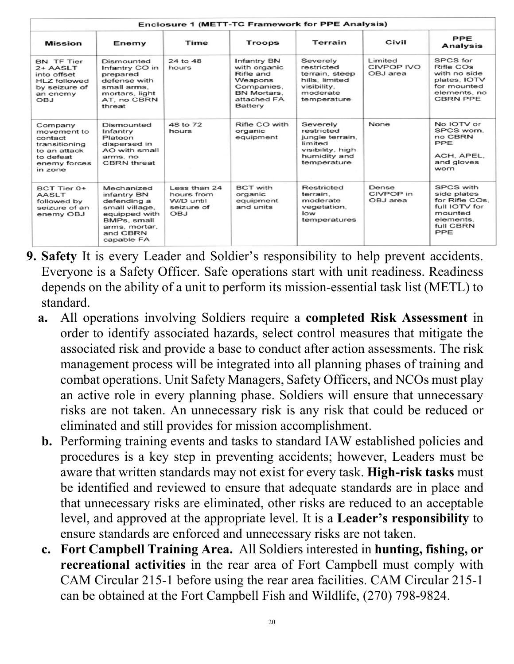| <b>Enclosure 1 (METT-TC Framework for PPE Analysis)</b>                                                    |                                                                                                                                       |                                                              |                                                                                                                   |                                                                                                         |                                          |                                                                                                                |
|------------------------------------------------------------------------------------------------------------|---------------------------------------------------------------------------------------------------------------------------------------|--------------------------------------------------------------|-------------------------------------------------------------------------------------------------------------------|---------------------------------------------------------------------------------------------------------|------------------------------------------|----------------------------------------------------------------------------------------------------------------|
| <b>Mission</b>                                                                                             | Enemy                                                                                                                                 | Time                                                         | <b>Troops</b>                                                                                                     | Terrain                                                                                                 | Civil                                    | PPE<br><b>Analysis</b>                                                                                         |
| <b>BN TF Tier</b><br>$2+$ AASLT<br>into offset<br>HLZ followed<br>by seizure of<br>an enemy<br><b>OBJ</b>  | Dismounted<br>Infantry CO in<br>prepared<br>defense with<br>small arms.<br>mortars, light<br>AT, no CBRN<br>threat                    | 24 to 48<br>hours                                            | Infantry BN<br>with organic<br>Rifle and<br>Weapons<br>Companies,<br>BN Mortars.<br>attached FA<br><b>Battery</b> | Severely<br>restricted<br>terrain, steep<br>hills, limited<br>visibility.<br>moderate<br>temperature    | Limited<br><b>CIVPOP IVO</b><br>OBJ area | SPCS for<br>Rifle COs<br>with no side<br>plates, IOTV<br>for mounted<br>elements, no<br><b>CBRN PPE</b>        |
| Company<br>movement to<br>contact<br>transitioning<br>to an attack<br>to defeat<br>enemy forces<br>in zone | Dismounted<br>Infantry<br>Platoon<br>dispersed in<br>AO with small<br>arms, no<br><b>CBRN</b> threat                                  | 48 to 72<br>hours                                            | Rifle CO with<br>organic<br>equipment                                                                             | Severely<br>restricted<br>jungle terrain,<br>limited<br>visibility, high<br>humidity and<br>temperature | None                                     | No IOTV or<br>SPCS worn.<br>no CBRN<br>PPE<br>ACH. APEL.<br>and gloves<br>worn                                 |
| BCT Tier 0+<br><b>AASLT</b><br>followed by<br>seizure of an<br>enemy OBJ                                   | Mechanized<br>infantry BN<br>defending a<br>small village,<br>equipped with<br>BMPs, small<br>arms, mortar,<br>and CBRN<br>capable FA | Less than 24<br>hours from<br>W/D until<br>seizure of<br>OBJ | <b>BCT</b> with<br>organic<br>equipment<br>and units                                                              | Restricted<br>terrain.<br>moderate<br>vegetation,<br>low<br>temperatures                                | Dense<br>CIVPOP in<br>OBJ area           | <b>SPCS with</b><br>side plates<br>for Rifle COs.<br>full IOTV for<br>mounted<br>elements.<br>full CBRN<br>PPE |

- **9. Safety** It is every Leader and Soldier's responsibility to help prevent accidents. Everyone is a Safety Officer. Safe operations start with unit readiness. Readiness depends on the ability of a unit to perform its mission-essential task list (METL) to standard.
	- **a.** All operations involving Soldiers require a **completed Risk Assessment** in order to identify associated hazards, select control measures that mitigate the associated risk and provide a base to conduct after action assessments. The risk management process will be integrated into all planning phases of training and combat operations. Unit Safety Managers, Safety Officers, and NCOs must play an active role in every planning phase. Soldiers will ensure that unnecessary risks are not taken. An unnecessary risk is any risk that could be reduced or eliminated and still provides for mission accomplishment.
	- **b.** Performing training events and tasks to standard IAW established policies and procedures is a key step in preventing accidents; however, Leaders must be aware that written standards may not exist for every task. **High-risk tasks** must be identified and reviewed to ensure that adequate standards are in place and that unnecessary risks are eliminated, other risks are reduced to an acceptable level, and approved at the appropriate level. It is a **Leader's responsibility** to ensure standards are enforced and unnecessary risks are not taken.
	- **c. Fort Campbell Training Area.** All Soldiers interested in **hunting, fishing, or recreational activities** in the rear area of Fort Campbell must comply with CAM Circular 215-1 before using the rear area facilities. CAM Circular 215-1 can be obtained at the Fort Campbell Fish and Wildlife, (270) 798-9824.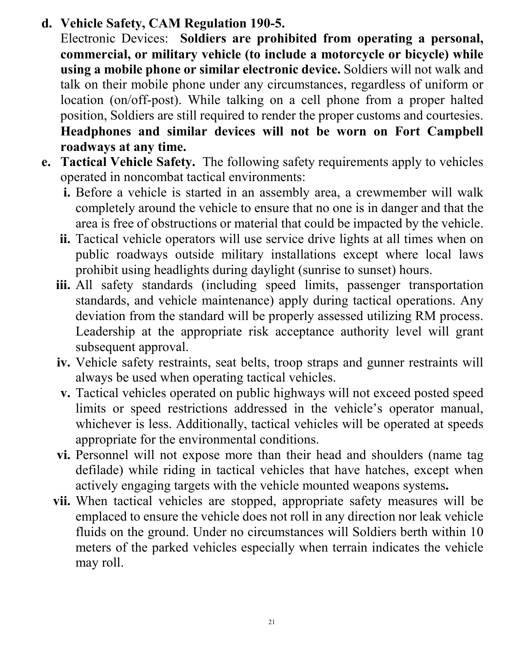**d. Vehicle Safety, CAM Regulation 190-5.**

Electronic Devices: **Soldiers are prohibited from operating a personal, commercial, or military vehicle (to include a motorcycle or bicycle) while using a mobile phone or similar electronic device.** Soldiers will not walk and talk on their mobile phone under any circumstances, regardless of uniform or location (on/off-post). While talking on a cell phone from a proper halted position, Soldiers are still required to render the proper customs and courtesies. **Headphones and similar devices will not be worn on Fort Campbell roadways at any time.**

- **e. Tactical Vehicle Safety.** The following safety requirements apply to vehicles operated in noncombat tactical environments:
	- **i.** Before a vehicle is started in an assembly area, a crewmember will walk completely around the vehicle to ensure that no one is in danger and that the area is free of obstructions or material that could be impacted by the vehicle.
	- **ii.** Tactical vehicle operators will use service drive lights at all times when on public roadways outside military installations except where local laws prohibit using headlights during daylight (sunrise to sunset) hours.
	- **iii.** All safety standards (including speed limits, passenger transportation standards, and vehicle maintenance) apply during tactical operations. Any deviation from the standard will be properly assessed utilizing RM process. Leadership at the appropriate risk acceptance authority level will grant subsequent approval.
	- **iv.** Vehicle safety restraints, seat belts, troop straps and gunner restraints will always be used when operating tactical vehicles.
	- **v.** Tactical vehicles operated on public highways will not exceed posted speed limits or speed restrictions addressed in the vehicle's operator manual, whichever is less. Additionally, tactical vehicles will be operated at speeds appropriate for the environmental conditions.
	- **vi.** Personnel will not expose more than their head and shoulders (name tag defilade) while riding in tactical vehicles that have hatches, except when actively engaging targets with the vehicle mounted weapons systems**.**
	- **vii.** When tactical vehicles are stopped, appropriate safety measures will be emplaced to ensure the vehicle does not roll in any direction nor leak vehicle fluids on the ground. Under no circumstances will Soldiers berth within 10 meters of the parked vehicles especially when terrain indicates the vehicle may roll.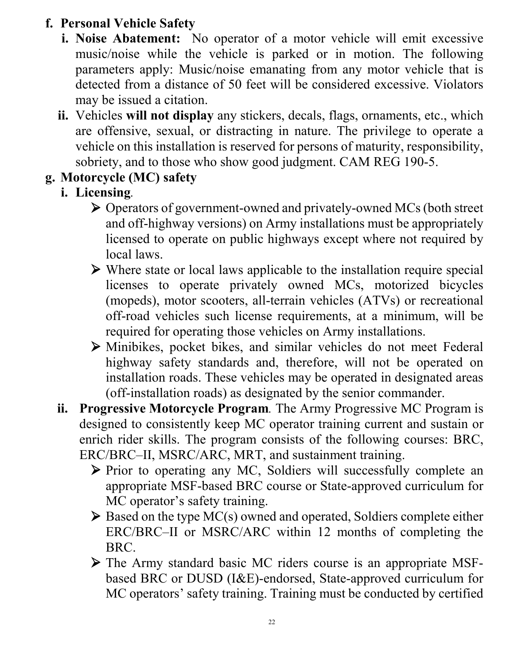# **f. Personal Vehicle Safety**

- **i. Noise Abatement:** No operator of a motor vehicle will emit excessive music/noise while the vehicle is parked or in motion. The following parameters apply: Music/noise emanating from any motor vehicle that is detected from a distance of 50 feet will be considered excessive. Violators may be issued a citation.
- **ii.** Vehicles **will not display** any stickers, decals, flags, ornaments, etc., which are offensive, sexual, or distracting in nature. The privilege to operate a vehicle on this installation is reserved for persons of maturity, responsibility, sobriety, and to those who show good judgment. CAM REG 190-5.

# **g. Motorcycle (MC) safety**

# **i. Licensing***.*

- Operators of government-owned and privately-owned MCs (both street and off-highway versions) on Army installations must be appropriately licensed to operate on public highways except where not required by local laws.
- $\triangleright$  Where state or local laws applicable to the installation require special licenses to operate privately owned MCs, motorized bicycles (mopeds), motor scooters, all-terrain vehicles (ATVs) or recreational off-road vehicles such license requirements, at a minimum, will be required for operating those vehicles on Army installations.
- Minibikes, pocket bikes, and similar vehicles do not meet Federal highway safety standards and, therefore, will not be operated on installation roads. These vehicles may be operated in designated areas (off-installation roads) as designated by the senior commander.
- **ii. Progressive Motorcycle Program***.* The Army Progressive MC Program is designed to consistently keep MC operator training current and sustain or enrich rider skills. The program consists of the following courses: BRC, ERC/BRC–II, MSRC/ARC, MRT, and sustainment training.
	- Prior to operating any MC, Soldiers will successfully complete an appropriate MSF-based BRC course or State-approved curriculum for MC operator's safety training.
	- $\triangleright$  Based on the type MC(s) owned and operated, Soldiers complete either ERC/BRC–II or MSRC/ARC within 12 months of completing the BRC.
	- The Army standard basic MC riders course is an appropriate MSFbased BRC or DUSD (I&E)-endorsed, State-approved curriculum for MC operators' safety training. Training must be conducted by certified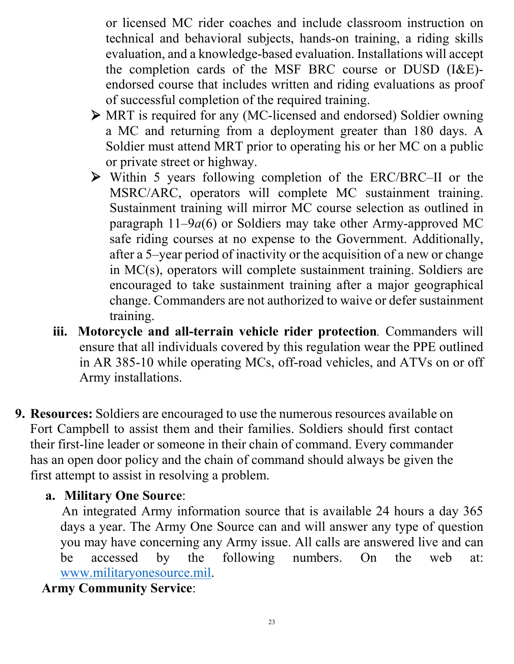or licensed MC rider coaches and include classroom instruction on technical and behavioral subjects, hands-on training, a riding skills evaluation, and a knowledge-based evaluation. Installations will accept the completion cards of the MSF BRC course or DUSD (I&E) endorsed course that includes written and riding evaluations as proof of successful completion of the required training.

- MRT is required for any (MC-licensed and endorsed) Soldier owning a MC and returning from a deployment greater than 180 days. A Soldier must attend MRT prior to operating his or her MC on a public or private street or highway.
- Within 5 years following completion of the ERC/BRC–II or the MSRC/ARC, operators will complete MC sustainment training. Sustainment training will mirror MC course selection as outlined in paragraph 11–9*a*(6) or Soldiers may take other Army-approved MC safe riding courses at no expense to the Government. Additionally, after a 5–year period of inactivity or the acquisition of a new or change in MC(s), operators will complete sustainment training. Soldiers are encouraged to take sustainment training after a major geographical change. Commanders are not authorized to waive or defer sustainment training.
- **iii. Motorcycle and all-terrain vehicle rider protection***.* Commanders will ensure that all individuals covered by this regulation wear the PPE outlined in AR 385-10 while operating MCs, off-road vehicles, and ATVs on or off Army installations.
- **9. Resources:** Soldiers are encouraged to use the numerous resources available on Fort Campbell to assist them and their families. Soldiers should first contact their first-line leader or someone in their chain of command. Every commander has an open door policy and the chain of command should always be given the first attempt to assist in resolving a problem.

## **a. Military One Source**:

An integrated Army information source that is available 24 hours a day 365 days a year. The Army One Source can and will answer any type of question you may have concerning any Army issue. All calls are answered live and can be accessed by the following numbers. On the web at: [www.militaryonesource.mil.](http://www.militaryonesource.mil/)

# **Army Community Service**: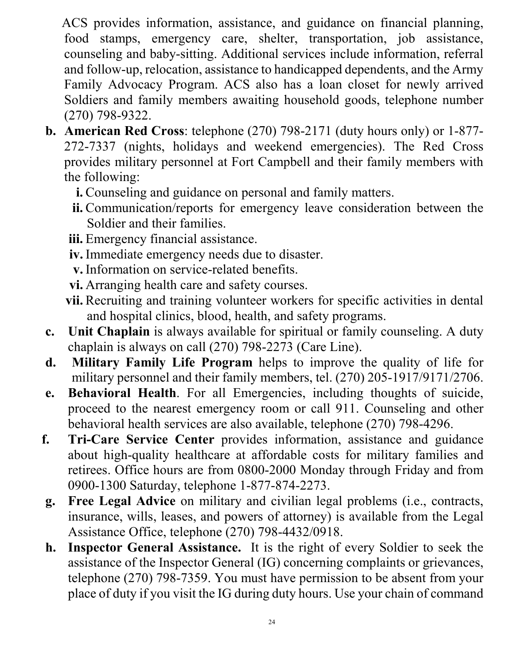ACS provides information, assistance, and guidance on financial planning, food stamps, emergency care, shelter, transportation, job assistance, counseling and baby-sitting. Additional services include information, referral and follow-up, relocation, assistance to handicapped dependents, and the Army Family Advocacy Program. ACS also has a loan closet for newly arrived Soldiers and family members awaiting household goods, telephone number (270) 798-9322.

- **b. American Red Cross**: telephone (270) 798-2171 (duty hours only) or 1-877- 272-7337 (nights, holidays and weekend emergencies). The Red Cross provides military personnel at Fort Campbell and their family members with the following:
	- **i.** Counseling and guidance on personal and family matters.
	- **ii.** Communication/reports for emergency leave consideration between the Soldier and their families.
	- **iii.** Emergency financial assistance.
	- **iv.** Immediate emergency needs due to disaster.
	- **v.** Information on service-related benefits.
	- **vi.** Arranging health care and safety courses.
	- **vii.** Recruiting and training volunteer workers for specific activities in dental and hospital clinics, blood, health, and safety programs.
- **c. Unit Chaplain** is always available for spiritual or family counseling. A duty chaplain is always on call (270) 798-2273 (Care Line).
- **d. Military Family Life Program** helps to improve the quality of life for military personnel and their family members, tel. (270) 205-1917/9171/2706.
- **e. Behavioral Health**. For all Emergencies, including thoughts of suicide, proceed to the nearest emergency room or call 911. Counseling and other behavioral health services are also available, telephone (270) 798-4296.
- **f. Tri-Care Service Center** provides information, assistance and guidance about high-quality healthcare at affordable costs for military families and retirees. Office hours are from 0800-2000 Monday through Friday and from 0900-1300 Saturday, telephone 1-877-874-2273.
- **g. Free Legal Advice** on military and civilian legal problems (i.e., contracts, insurance, wills, leases, and powers of attorney) is available from the Legal Assistance Office, telephone (270) 798-4432/0918.
- **h. Inspector General Assistance.** It is the right of every Soldier to seek the assistance of the Inspector General (IG) concerning complaints or grievances, telephone (270) 798-7359. You must have permission to be absent from your place of duty if you visit the IG during duty hours. Use your chain of command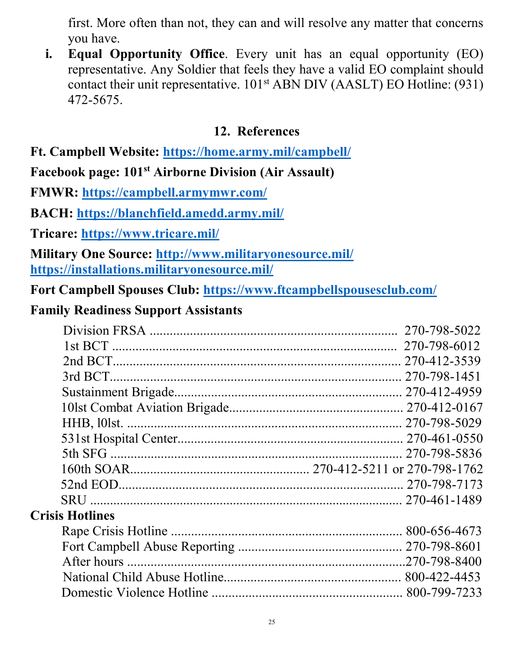first. More often than not, they can and will resolve any matter that concerns you have.

**i. Equal Opportunity Office**. Every unit has an equal opportunity (EO) representative. Any Soldier that feels they have a valid EO complaint should contact their unit representative.  $101<sup>st</sup>$  ABN DIV (AASLT) EO Hotline: (931) 472-5675.

#### **12. References**

#### **Ft. Campbell Website:<https://home.army.mil/campbell/>**

**Facebook page: 101st Airborne Division (Air Assault)**

**FMWR:<https://campbell.armymwr.com/>**

**BACH:<https://blanchfield.amedd.army.mil/>**

**Tricare:<https://www.tricare.mil/>**

**Military One Source:<http://www.militaryonesource.mil/> <https://installations.militaryonesource.mil/>**

**Fort Campbell Spouses Club:<https://www.ftcampbellspousesclub.com/>**

#### **Family Readiness Support Assistants**

|                        | 270-798-5022 |
|------------------------|--------------|
|                        |              |
|                        |              |
|                        |              |
|                        |              |
|                        |              |
|                        |              |
|                        |              |
|                        |              |
|                        |              |
|                        |              |
|                        |              |
| <b>Crisis Hotlines</b> |              |
|                        |              |
|                        |              |
|                        |              |
|                        |              |
|                        |              |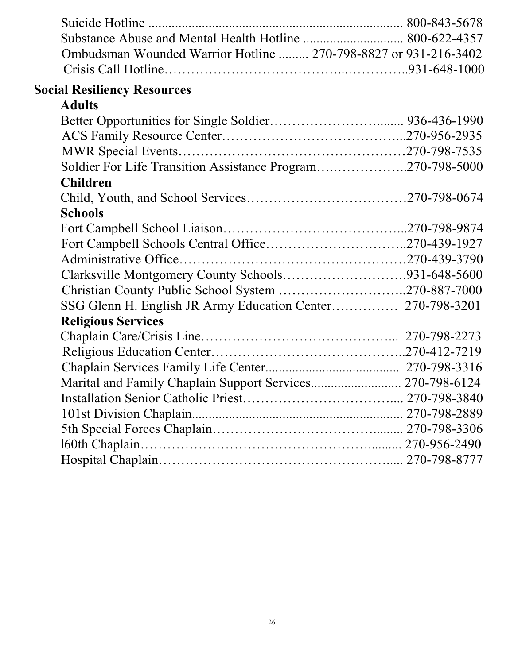| Ombudsman Wounded Warrior Hotline  270-798-8827 or 931-216-3402 |  |
|-----------------------------------------------------------------|--|
|                                                                 |  |
| <b>Social Resiliency Resources</b>                              |  |
| <b>Adults</b>                                                   |  |
|                                                                 |  |
|                                                                 |  |
|                                                                 |  |
| Soldier For Life Transition Assistance Program270-798-5000      |  |
| <b>Children</b>                                                 |  |
|                                                                 |  |
| <b>Schools</b>                                                  |  |
|                                                                 |  |
|                                                                 |  |
|                                                                 |  |
| Clarksville Montgomery County Schools931-648-5600               |  |
| Christian County Public School System 270-887-7000              |  |
| SSG Glenn H. English JR Army Education Center 270-798-3201      |  |
| <b>Religious Services</b>                                       |  |
|                                                                 |  |
|                                                                 |  |
|                                                                 |  |
| Marital and Family Chaplain Support Services 270-798-6124       |  |
|                                                                 |  |
|                                                                 |  |
|                                                                 |  |
|                                                                 |  |
|                                                                 |  |